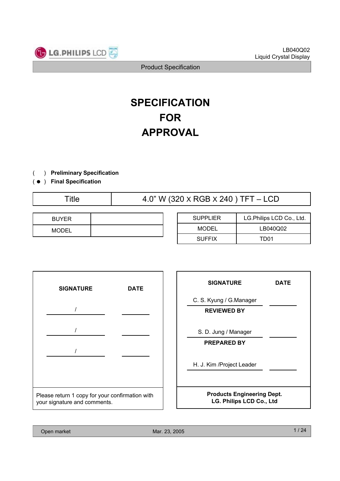

# **SPECIFICATION FOR APPROVAL**

- ) **Preliminary Specification**(
- ) ( **Final Specification**

Title  $4.0$ " W (320 X RGB X 240 ) TFT – LCD

| <b>BUYER</b> |  |
|--------------|--|
| <b>MODEL</b> |  |

| <b>SUPPLIER</b> | LG.Philips LCD Co., Ltd. |  |  |  |  |  |
|-----------------|--------------------------|--|--|--|--|--|
| MODEL           | LB040Q02                 |  |  |  |  |  |
| <b>SUFFIX</b>   | TD01                     |  |  |  |  |  |



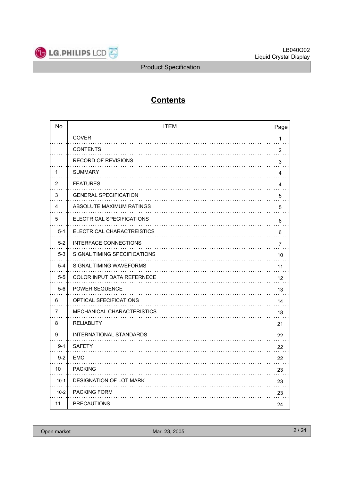

## **Contents**

| <b>No</b> | <b>ITEM</b>                    | Page           |
|-----------|--------------------------------|----------------|
|           | <b>COVER</b>                   | 1              |
|           | <b>CONTENTS</b>                | $\overline{2}$ |
|           | RECORD OF REVISIONS            | 3              |
| 1         | <b>SUMMARY</b>                 | 4              |
| 2         | <b>FEATURES</b>                | 4              |
| 3         | <b>GENERAL SPECIFICATION</b>   | 5              |
| 4         | ABSOLUTE MAXIMUM RATINGS       | 5              |
| 5         | ELECTRICAL SPECIFICATIONS      | 6              |
| $5 - 1$   | ELECTRICAL CHARACTREISTICS     | 6              |
| $5 - 2$   | <b>INTERFACE CONNECTIONS</b>   | $\overline{7}$ |
| $5 - 3$   | SIGNAL TIMING SPECIFICATIONS   | 10             |
| $5 - 4$   | SIGNAL TIMING WAVEFORMS        | 11             |
| $5 - 5$   | COLOR INPUT DATA REFERNECE     | 12             |
| $5-6$     | <b>POWER SEQUENCE</b>          | 13             |
| 6         | <b>OPTICAL SFECIFICATIONS</b>  | 14             |
| 7         | MECHANICAL CHARACTERISTICS     | 18             |
| 8         | <b>RELIABLITY</b>              | 21             |
| 9         | <b>INTERNATIONAL STANDARDS</b> | 22             |
| $9 - 1$   | <b>SAFETY</b>                  | 22             |
| $9 - 2$   | EMC                            | 22             |
| 10        | <b>PACKING</b>                 | 23             |
| $10-1$    | <b>DESIGNATION OF LOT MARK</b> | 23             |
| $10-2$    | <b>PACKING FORM</b>            | 23             |
| 11        | <b>PRECAUTIONS</b>             | 24             |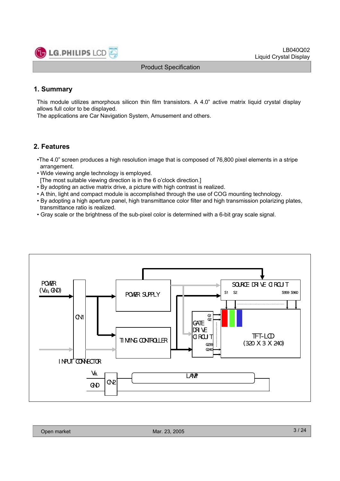

LB040Q02 Liquid Crystal Display

#### Product Specification

### **1. Summary**

This module utilizes amorphous silicon thin film transistors. A 4.0" active matrix liquid crystal display allows full color to be displayed.

The applications are Car Navigation System, Amusement and others.

### **2. Features**

- •The 4.0" screen produces a high resolution image that is composed of 76,800 pixel elements in a stripe arrangement.
- Wide viewing angle technology is employed.
- [The most suitable viewing direction is in the 6 o'clock direction.]
- By adopting an active matrix drive, a picture with high contrast is realized.
- A thin, light and compact module is accomplished through the use of COG mounting technology.
- By adopting a high aperture panel, high transmittance color filter and high transmission polarizing plates, transmittance ratio is realized.
- Gray scale or the brightness of the sub-pixel color is determined with a 6-bit gray scale signal.

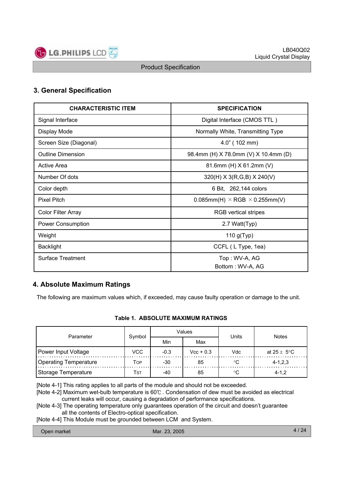

### **3. General Specification**

| <b>CHARACTERISTIC ITEM</b> | <b>SPECIFICATION</b>                           |
|----------------------------|------------------------------------------------|
| Signal Interface           | Digital Interface (CMOS TTL)                   |
| Display Mode               | Normally White, Transmitting Type              |
| Screen Size (Diagonal)     | $4.0$ " (102 mm)                               |
| <b>Outline Dimension</b>   | 98.4mm (H) X 78.0mm (V) X 10.4mm (D)           |
| Active Area                | 81.6mm (H) X 61.2mm (V)                        |
| Number Of dots             | $320(H)$ X 3(R,G,B) X 240(V)                   |
| Color depth                | 6 Bit, 262,144 colors                          |
| <b>Pixel Pitch</b>         | $0.085$ mm(H) $\times$ RGB $\times$ 0.255mm(V) |
| Color Filter Array         | <b>RGB</b> vertical stripes                    |
| Power Consumption          | 2.7 Watt(Typ)                                  |
| Weight                     | 110 $g(Typ)$                                   |
| <b>Backlight</b>           | CCFL (L Type, 1ea)                             |
| <b>Surface Treatment</b>   | Top: WV-A, AG                                  |
|                            | Bottom: WV-A, AG                               |

### **4. Absolute Maximum Ratings**

The following are maximum values which, if exceeded, may cause faulty operation or damage to the unit.

#### **Table 1. ABSOLUTE MAXIMUM RATINGS**

| Parameter                    | Symbol     |        | Values      | Units      | <b>Notes</b>            |  |  |
|------------------------------|------------|--------|-------------|------------|-------------------------|--|--|
|                              |            | Min    | Max         |            |                         |  |  |
| Power Input Voltage          | <b>VCC</b> | $-0.3$ | $Vcc + 0.3$ | <b>Vdc</b> | at $25 \pm 5^{\circ}$ C |  |  |
| <b>Operating Temperature</b> | TOP        | $-30$  | 85          |            | $4 - 1, 2, 3$           |  |  |
| Storage Temperature          | Tst        | -40    | 85          | °C         | $4 - 1.2$               |  |  |

[Note 4-1] This rating applies to all parts of the module and should not be exceeded.

[Note 4-2] Maximum wet-bulb temperature is 60℃ . Condensation of dew must be avoided as electrical current leaks will occur, causing a degradation of performance specifications.

[Note 4-3] The operating temperature only guarantees operation of the circuit and doesn't guarantee all the contents of Electro-optical specification.

[Note 4-4] This Module must be grounded between LCM and System.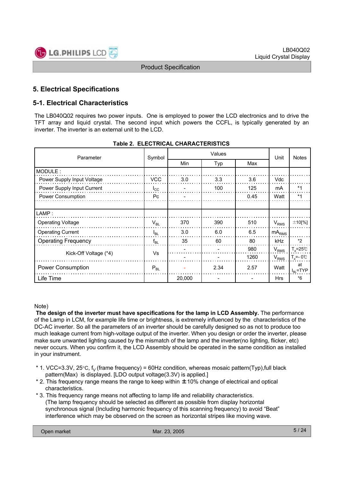

### **5. Electrical Specifications**

### **5-1. Electrical Characteristics**

The LB040Q02 requires two power inputs. One is employed to power the LCD electronics and to drive the TFT array and liquid crystal. The second input which powers the CCFL, is typically generated by an inverter. The inverter is an external unit to the LCD.

| Parameter                  | Symbol       |        | Unit | <b>Notes</b> |                   |                           |
|----------------------------|--------------|--------|------|--------------|-------------------|---------------------------|
|                            |              | Min    | Typ  | Max          |                   |                           |
| MODULE:                    |              |        |      |              |                   |                           |
| Power Supply Input Voltage | <b>VCC</b>   | 3.0    | 3.3  | 3.6          | Vdc               |                           |
| Power Supply Input Current | $I_{\rm CC}$ |        | 100  | 125          | mA                | $*1$                      |
| Power Consumption          | Pc.          |        |      | 0.45         | Watt              | $*1$                      |
|                            |              |        |      |              |                   |                           |
| LAMP:                      |              |        |      |              |                   |                           |
| <b>Operating Voltage</b>   | $V_{BL}$     | 370    | 390  | 510          | $V_{RMS}$         | $±10$ [%]                 |
| <b>Operating Current</b>   | $I_{BL}$     | 3.0    | 6.0  | 6.5          | mA <sub>RMS</sub> |                           |
| <b>Operating Frequency</b> | $f_{BL}$     | 35     | 60   | 80           | kHz               | $*2$                      |
|                            |              |        |      | 980          | $V_{RMS}$         | $T_a = 25^\circ \text{C}$ |
| Kick-Off Voltage (*4)      | Vs           |        |      | 1260         | $V_{RMS}$         | $T_s = -0$ °C             |
| <b>Power Consumption</b>   | $P_{BL}$     |        | 2.34 | 2.57         | Watt              | at<br>$I_{BL}$ =TYP       |
| Life Time                  |              | 20,000 |      |              | <b>Hrs</b>        | $*6$                      |

#### **Table 2. ELECTRICAL CHARACTERISTICS**

#### Note)

**The design of the inverter must have specifications for the lamp in LCD Assembly.** The performance of the Lamp in LCM, for example life time or brightness, is extremely influenced by the characteristics of the DC-AC inverter. So all the parameters of an inverter should be carefully designed so as not to produce too much leakage current from high-voltage output of the inverter. When you design or order the inverter, please make sure unwanted lighting caused by the mismatch of the lamp and the inverter(no lighting, flicker, etc) never occurs. When you confirm it, the LCD Assembly should be operated in the same condition as installed in your instrument.

- \* 1. VCC=3.3V, 25 $\degree$ C, f<sub>V</sub> (frame frequency) = 60Hz condition, whereas mosaic pattern(Typ),full black pattern(Max) is displayed. [LDO output voltage(3.3V) is applied.]
- \* 2. This frequency range means the range to keep within ±10% change of electrical and optical characteristics.
- \* 3. This frequency range means not affecting to lamp life and reliability characteristics. (The lamp frequency should be selected as different as possible from display horizontal synchronous signal (Including harmonic frequency of this scanning frequency) to avoid "Beat" interference which may be observed on the screen as horizontal stripes like moving wave.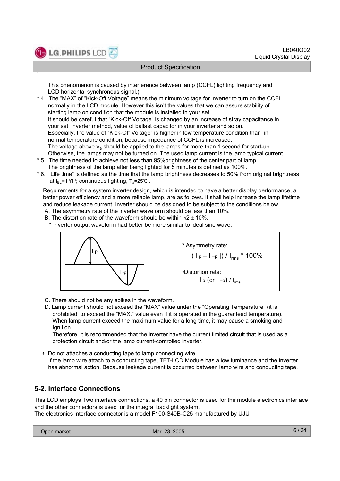

.

#### Product Specification

This phenomenon is caused by interference between lamp (CCFL) lighting frequency and LCD horizontal synchronous signal.)

- . \* 4. The "MAX" of "Kick-Off Voltage" means the minimum voltage for inverter to turn on the CCFL normally in the LCD module. However this isn't the values that we can assure stability of starting lamp on condition that the module is installed in your set. It should be careful that "Kick-Off Voltage" is changed by an increase of stray capacitance in your set, inverter method, value of ballast capacitor in your inverter and so on. Especially, the value of "Kick-Off Voltage" is higher in low temperature condition than in normal temperature condition, because impedance of CCFL is increased. The voltage above  $V_S$  should be applied to the lamps for more than 1 second for start-up. Otherwise, the lamps may not be turned on. The used lamp current is the lamp typical current.
- \* 5. The time needed to achieve not less than 95%brightness of the center part of lamp. The brightness of the lamp after being lighted for 5 minutes is defined as 100%.
- \* 6. "Life time" is defined as the time that the lamp brightness decreases to 50% from original brightness at  $I_{BL}$ =TYP; continuous lighting,  $T_a$ =25℃ .

Requirements for a system inverter design, which is intended to have a better display performance, a better power efficiency and a more reliable lamp, are as follows. It shall help increase the lamp lifetime and reduce leakage current. Inverter should be designed to be subject to the conditions below

- A. The asymmetry rate of the inverter waveform should be less than 10%.
- B. The distortion rate of the waveform should be within  $\sqrt{2} \pm 10\%$ .

\* Inverter output waveform had better be more similar to ideal sine wave.





- C. There should not be any spikes in the waveform.
- D. Lamp current should not exceed the "MAX" value under the "Operating Temperature" (it is prohibited to exceed the "MAX." value even if it is operated in the guaranteed temperature). When lamp current exceed the maximum value for a long time, it may cause a smoking and Ignition.

Therefore, it is recommended that the inverter have the current limited circuit that is used as a protection circuit and/or the lamp current-controlled inverter.

 Do not attaches a conducting tape to lamp connecting wire. If the lamp wire attach to a conducting tape, TFT-LCD Module has a low luminance and the inverter has abnormal action. Because leakage current is occurred between lamp wire and conducting tape.

### **5-2. Interface Connections**

This LCD employs Two interface connections, a 40 pin connector is used for the module electronics interface and the other connectors is used for the integral backlight system. The electronics interface connector is a model F100-S40B-C25 manufactured by UJU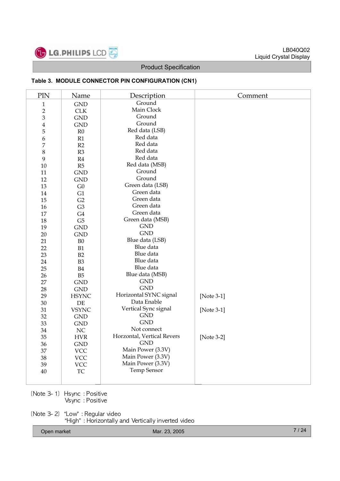

#### **Table 3. MODULE CONNECTOR PIN CONFIGURATION (CN1)**

| PIN            | Name           | Description                | Comment       |
|----------------|----------------|----------------------------|---------------|
| $\mathbf{1}$   | <b>GND</b>     | Ground                     |               |
| $\overline{2}$ | CLK            | Main Clock                 |               |
| $\mathfrak{B}$ | <b>GND</b>     | Ground                     |               |
| $\bf 4$        | <b>GND</b>     | Ground                     |               |
| $\overline{5}$ | R <sub>0</sub> | Red data (LSB)             |               |
| 6              | R1             | Red data                   |               |
| 7              | R2             | Red data                   |               |
| $\,8\,$        | R3             | Red data                   |               |
| 9              | R4             | Red data                   |               |
| 10             | R5             | Red data (MSB)             |               |
| 11             | <b>GND</b>     | Ground                     |               |
| 12             | <b>GND</b>     | Ground                     |               |
| 13             | ${\rm G0}$     | Green data (LSB)           |               |
| 14             | G1             | Green data                 |               |
| 15             | G2             | Green data                 |               |
| 16             | G <sub>3</sub> | Green data                 |               |
| $17\,$         | G4             | Green data                 |               |
| 18             | G5             | Green data (MSB)           |               |
| 19             | <b>GND</b>     | <b>GND</b>                 |               |
| 20             | <b>GND</b>     | <b>GND</b>                 |               |
| 21             | B <sub>0</sub> | Blue data (LSB)            |               |
| 22             | B1             | Blue data                  |               |
| 23             | B2             | Blue data                  |               |
| 24             | B <sub>3</sub> | Blue data                  |               |
| 25             | B4             | Blue data                  |               |
| 26             | B <sub>5</sub> | Blue data (MSB)            |               |
| 27             | <b>GND</b>     | <b>GND</b>                 |               |
| 28             | $\mathrm{GND}$ | <b>GND</b>                 |               |
| 29             | <b>HSYNC</b>   | Horizontal SYNC signal     | [Note 3-1]    |
| 30             | $\rm DE$       | Data Enable                |               |
| 31             | <b>VSYNC</b>   | Vertical Sync signal       | [Note 3-1]    |
| 32             | <b>GND</b>     | <b>GND</b>                 |               |
| 33             | <b>GND</b>     | <b>GND</b>                 |               |
| 34             | $\rm NC$       | Not connect                |               |
| 35             | <b>HVR</b>     | Horzontal, Vertical Revers | [Note $3-2$ ] |
| 36             | <b>GND</b>     | <b>GND</b>                 |               |
| 37             | <b>VCC</b>     | Main Power (3.3V)          |               |
| 38             | <b>VCC</b>     | Main Power (3.3V)          |               |
| 39             | <b>VCC</b>     | Main Power (3.3V)          |               |
| $40\,$         | ${\rm TC}$     | <b>Temp Sensor</b>         |               |
|                |                |                            |               |

[Note 3-1] Hsync : Positive Vsync : Positive

[Note 3-2] "Low" : Regular video "High" : Horizontally and Vertically inverted video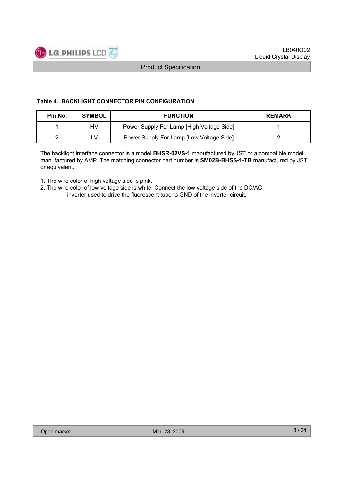

#### **Table 4. BACKLIGHT CONNECTOR PIN CONFIGURATION**

| Pin No. | <b>SYMBOL</b> | <b>FUNCTION</b>                           | <b>REMARK</b> |
|---------|---------------|-------------------------------------------|---------------|
|         | HV            | Power Supply For Lamp [High Voltage Side] |               |
|         | ٢V            | Power Supply For Lamp [Low Voltage Side]  |               |

The backlight interface connector is a model **BHSR-02VS-1** manufactured by JST or a compatible model manufactured by AMP. The matching connector part number is **SM02B-BHSS-1-TB** manufactured by JST or equivalent.

1. The wire color of high voltage side is pink.

2. The wire color of low voltage side is white. Connect the low voltage side of the DC/AC inverter used to drive the fluorescent tube to GND of the inverter circuit.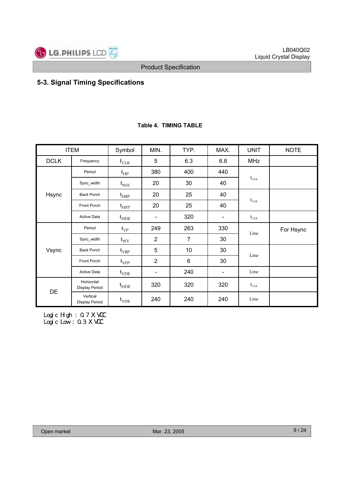

### **5-3. Signal Timing Specifications**

|             | <b>ITEM</b>                         | Symbol                      | MIN.                     | TYP.           | MAX.                     | <b>UNIT</b>                                     | <b>NOTE</b> |
|-------------|-------------------------------------|-----------------------------|--------------------------|----------------|--------------------------|-------------------------------------------------|-------------|
| <b>DCLK</b> | Frequency                           | $f_{CLK}$                   | 5                        | 6.3            | 6.8                      | <b>MHz</b>                                      |             |
|             | Period                              | $t_{HP}$                    | 380                      | 400            | 440                      |                                                 |             |
|             | Sync_width                          | $t_{WH}$                    | 20                       | 30             | 40                       | $\mathfrak{t}_{\text{CLK}}$                     |             |
| Hsync       | <b>Back Porch</b>                   | $t_{HBP}$                   | 20                       | 25<br>40       |                          |                                                 |             |
|             | Front Porch                         | $\mathfrak{t}_{\text{HFP}}$ | 20                       | 25             | 40                       | $\mathfrak{t}_{\text{CLK}}$                     |             |
|             | <b>Active Data</b>                  | $t_{HDE}$                   | $\overline{\phantom{a}}$ | 320            | $\overline{\phantom{a}}$ | $t_{CLK}$                                       |             |
|             | Period                              | $t_{VP}$                    | 263<br>249<br>330        |                |                          | Line                                            | For Hsync   |
|             | Sync_width                          | $t_{\rm WV}$                | $\overline{2}$           | $\overline{7}$ | 30                       |                                                 |             |
| Vsync       | <b>Back Porch</b>                   | $t_{VBP}$                   | 5                        | 10             | 30                       | Line                                            |             |
|             | Front Porch                         | $t_{\rm VFP}$               | $\overline{2}$           | 6              | 30                       |                                                 |             |
|             | <b>Active Data</b>                  | $t_{VDE}$                   | $\overline{\phantom{a}}$ | 240            | $\overline{\phantom{a}}$ | Line                                            |             |
| DE          | Horizontal<br><b>Display Period</b> | $t_{\text{HDE}}$            | 320                      | 320            | 320                      | $\mathfrak{t}_{\scriptscriptstyle{\text{CLK}}}$ |             |
|             | Vertical<br>Display Period          | $t_{VDE}$                   | 240                      | 240            | 240                      | Line                                            |             |

#### **Table 4. TIMING TABLE**

Logi c Hi gh : 0. 7 X VCC Logic Low : 0.3 X VCC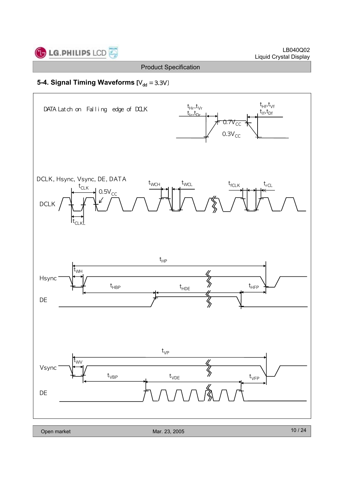

### **5-4. Signal Timing Waveforms [V<sub>dd</sub> = 3.3V]**

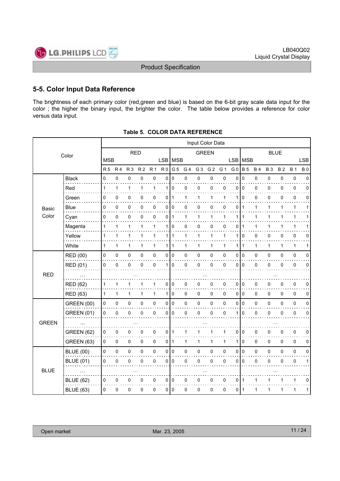

### **5-5. Color Input Data Reference**

The brightness of each primary color (red,green and blue) is based on the 6-bit gray scale data input for the color ; the higher the binary input, the brighter the color. The table below provides a reference for color versus data input.

|              |                   |                |              |                | Input Color Data |              |                  |              |                |                |                |              |                |              |              |              |              |              |             |
|--------------|-------------------|----------------|--------------|----------------|------------------|--------------|------------------|--------------|----------------|----------------|----------------|--------------|----------------|--------------|--------------|--------------|--------------|--------------|-------------|
| Color        |                   | <b>RED</b>     |              |                |                  | <b>GREEN</b> |                  |              |                | <b>BLUE</b>    |                |              |                |              |              |              |              |              |             |
|              |                   | <b>MSB</b>     |              |                |                  |              | LSB   MSB        |              |                |                |                |              | <b>LSB</b>     | <b>MSB</b>   |              |              |              |              | <b>LSB</b>  |
|              |                   | R <sub>5</sub> | <b>R4</b>    | R <sub>3</sub> | R <sub>2</sub>   | <b>R1</b>    | R <sub>0</sub>   | G 5          | G <sub>4</sub> | G <sub>3</sub> | G <sub>2</sub> | G 1          | G <sub>0</sub> | <b>B</b> 5   | <b>B4</b>    | <b>B3</b>    | <b>B2</b>    | <b>B1</b>    | <b>B0</b>   |
|              | <b>Black</b>      | 0              | 0            | 0              | 0                | 0            | 0                | 0            | 0              | 0              | 0              | 0            | $\Omega$       | $\mathbf 0$  | 0            | 0            | 0            | 0            | $\Omega$    |
|              | Red               | 1              | 1            | $\mathbf{1}$   | 1                | 1            | 1                | $\mathbf 0$  | 0              | 0              | 0              | $\mathbf 0$  | 0              | $\Omega$     | 0            | 0            | 0            | $\pmb{0}$    | $\Omega$    |
|              | Green             | 0              | $\mathbf 0$  | 0              | 0                | 0            | 0                | 1            | 1              | 1              | 1              | 1            | 1              | $\Omega$     | 0            | 0            | 0            | $\mathbf 0$  | 0           |
| Basic        | Blue              | 0              | 0            | 0              | 0                | 0            | 0                | 0            | 0              | 0              | 0              | 0            | 0              | 1            | 1            | 1            | 1            | $\mathbf{1}$ | 1           |
| Color        | Cyan              | 0              | $\mathbf 0$  | 0              | 0                | 0            | 0                | $\mathbf{1}$ | 1              | 1              | 1              | 1            | 1              | 1            | 1            | 1            | 1            | $\mathbf{1}$ |             |
|              | Magenta           | 1              | 1            | 1              | 1                | 1            | 1                | 0            | 0              | 0              | 0              | 0            | 0              | 1            | 1            | 1            | 1            | 1            |             |
|              | Yellow            | 1              | 1            | 1              | 1                | 1            | 1 <sup>1</sup>   | $\mathbf{1}$ | 1              | 1              | $\mathbf{1}$   | 1            | 1              | 0            | 0            | 0            | 0            | $\mathbf 0$  | 0           |
|              | White             | $\mathbf{1}$   | $\mathbf{1}$ | 1              | 1                | $\mathbf{1}$ | $\mathbf{1}$     | $\mathbf{1}$ | 1              | 1              | $\mathbf{1}$   | $\mathbf{1}$ | 1              | $\mathbf{1}$ | $\mathbf{1}$ | $\mathbf{1}$ | $\mathbf{1}$ | $\mathbf{1}$ | 1           |
|              | RED (00)          | 0              | 0            | 0              | 0                | $\pmb{0}$    | 0                | $\mathbf 0$  | 0              | $\pmb{0}$      | 0              | 0            | 0              | l o          | 0            | $\Omega$     | 0            | $\pmb{0}$    | 0           |
|              | RED (01)          | 0              | $\mathbf 0$  | 0              | $\mathbf 0$      | $\mathbf 0$  | 1                | $\mathbf{0}$ | 0              | 0              | 0              | $\mathbf 0$  | $\Omega$       | ۱o           | 0            | 0            | 0            | 0            | $\mathbf 0$ |
| <b>RED</b>   |                   |                |              |                |                  |              |                  |              |                |                |                |              |                |              |              |              |              |              |             |
|              | <b>RED (62)</b>   | 1              | 1            | 1              |                  | 1            | 0                | 0            | 0              | 0              | 0              | 0            | 0              | 0            | 0            | 0            | 0            | 0            | 0           |
|              | <b>RED (63)</b>   | 1              | $\mathbf{1}$ | 1              | 1                | $\mathbf{1}$ | $\mathbf{1}$     | $\mathbf 0$  | 0              | 0              | 0              | 0            | 0              | l 0          | 0            | 0            | 0            | $\mathbf 0$  | 0           |
|              | <b>GREEN (00)</b> | 0              | 0            | 0              | 0                | $\pmb{0}$    | 0                | $\mathbf 0$  | 0              | $\pmb{0}$      | 0              | 0            | 0              | $\vert$ 0    | 0            | 0            | 0            | $\pmb{0}$    | 0           |
|              | <b>GREEN (01)</b> | 0              | $\mathbf 0$  | 0              | $\mathbf 0$      | 0            | 0                | $\mathbf 0$  | 0              | 0              | $\mathsf 0$    | 0            | 1              | $\mathbf{0}$ | 0            | 0            | 0            | $\pmb{0}$    | $\mathbf 0$ |
| <b>GREEN</b> |                   |                |              |                |                  |              |                  |              |                |                |                |              |                |              |              |              |              |              |             |
|              | <b>GREEN (62)</b> | 0              | 0            | 0              | 0                | 0            | 0                | 1            | 1              | 1              | 1              | 1            | 0              | l 0          | $\pmb{0}$    | 0            | 0            | $\mathbf 0$  | 0           |
|              | <b>GREEN (63)</b> | 0              | 0            | 0              | 0                | 0            | 0                | $\mathbf{1}$ | 1              | 1              | 1              | 1            | 1              | $\mathbf 0$  | 0            | 0            | 0            | $\mathbf 0$  | 0           |
|              | <b>BLUE (00)</b>  | 0              | 0            | 0              | 0                | $\mathsf 0$  | $\mathsf{O}\,\,$ | $\mathbf 0$  | 0              | $\mathsf 0$    | $\mathsf 0$    | 0            | 0              | $\vert$ 0    | 0            | 0            | 0            | $\pmb{0}$    | 0           |
| <b>BLUE</b>  | <b>BLUE (01)</b>  | 0              | $\mathbf 0$  | 0              | $\mathbf{0}$     | 0            | 0                | 0            | 0              | 0              | 0              | $\mathbf 0$  | 0              | l 0          | 0            | 0            | 0            | $\pmb{0}$    | 1           |
|              |                   |                |              |                |                  |              |                  |              |                |                |                |              |                |              |              |              |              |              |             |
|              | <b>BLUE (62)</b>  | 0              | 0            | 0              | 0                | 0            | 0                | 0            | 0              | 0              | 0              | 0            | 0              | $\mathbf 1$  | 1            |              |              | 1            | 0           |
|              | <b>BLUE (63)</b>  | 0              | 0            | 0              | 0                | 0            | 0                | $\mathbf 0$  | 0              | 0              | 0              | 0            | $\Omega$       | l 1          | 1            | 1            | 1            | $\mathbf{1}$ | 1           |
|              |                   |                |              |                |                  |              |                  |              |                |                |                |              |                |              |              |              |              |              |             |

| Table 5. COLOR DATA REFERENCE |
|-------------------------------|
|                               |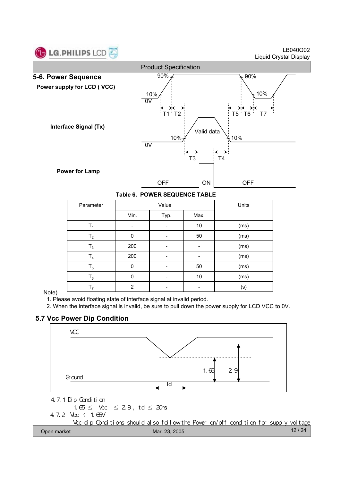

LB040Q02 Liquid Crystal Display



|  | Table 6. POWER SEQUENCE TABLE |  |
|--|-------------------------------|--|
|  |                               |  |

| Parameter      |                | Value | Units |      |
|----------------|----------------|-------|-------|------|
|                | Min.           | Typ.  | Max.  |      |
| $\mathsf{T}_1$ |                |       | 10    | (ms) |
| T <sub>2</sub> | $\Omega$       |       | 50    | (ms) |
| $T_3$          | 200            |       |       | (ms) |
| $T_4$          | 200            |       |       | (ms) |
| $T_5$          | $\Omega$       |       | 50    | (ms) |
| $T_6$          | $\Omega$       |       | 10    | (ms) |
| T <sub>7</sub> | $\overline{2}$ |       |       | (s)  |

#### Note)

1. Please avoid floating state of interface signal at invalid period.

2. When the interface signal is invalid, be sure to pull down the power supply for LCD VCC to 0V.

### **5.7 Vcc Power Dip Condition**

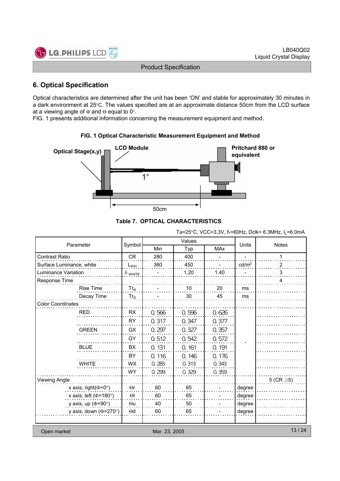

### **6. Optical Specification**

Optical characteristics are determined after the unit has been 'ON' and stable for approximately 30 minutes in a dark environment at 25°C. The values specified are at an approximate distance 50cm from the LCD surface at a viewing angle of  $\Phi$  and  $\Theta$  equal to 0°.

FIG. 1 presents additional information concerning the measurement equipment and method.



### **FIG. 1 Optical Characteristic Measurement Equipment and Method**

**Table 7. OPTICAL CHARACTERISTICS**

Ta=25°C, VCC=3.3V, fv=60Hz, Dclk= 6.3MHz,  $I_1$ =6.0mA

| Parameter                    |                |               | Values | Units      | <b>Notes</b>      |                 |
|------------------------------|----------------|---------------|--------|------------|-------------------|-----------------|
|                              | Symbol         | Min           | Typ    | <b>MAx</b> |                   |                 |
| <b>Contrast Ratio</b>        | <b>CR</b>      | 280           | 400    |            |                   | 1               |
| Surface Luminance, white     | $L_{WH}$       | 360           | 450    |            | cd/m <sup>2</sup> | 2               |
| Luminance Variation          | $\delta$ white |               | 1.20   | 1.40       |                   | 3               |
| Response Time                |                |               |        |            |                   | 4               |
| <b>Rise Time</b>             | $Tr_R$         |               | 10     | 20         | ms                |                 |
| Decay Time                   | $Tr_D$         |               | 30     | 45         | ms                |                 |
| <b>Color Coordinates</b>     |                |               |        |            |                   |                 |
| <b>RED</b>                   | <b>RX</b>      | 0.566         | 0.596  | 0.626      |                   |                 |
|                              | <b>RY</b>      | 0.317         | 0.347  | 0.377      |                   |                 |
| <b>GREEN</b>                 | GX             | 0.297         | 0.327  | 0.357      |                   |                 |
|                              | GY             | 0.512         | 0.542  | 0.572      |                   |                 |
| <b>BLUE</b>                  | <b>BX</b>      | 0.131         | 0.161  | 0.191      |                   |                 |
|                              | BY             | 0.116         | 0.146  | 0.176      |                   |                 |
| <b>WHITE</b>                 | <b>WX</b>      | 0.283         | 0.313  | 0.343      |                   |                 |
|                              | <b>WY</b>      | 0.299         | 0.329  | 0.359      |                   |                 |
| Viewing Angle                |                |               |        |            |                   | 5 (CR $\geq$ 5) |
| x axis, right( $\Phi$ =0°)   | $\Theta$ r     | 60            | 65     |            | degree            |                 |
| x axis, left ( $\Phi$ =180°) | $\Theta$       | 60            | 65     |            | degree            |                 |
| y axis, up ( $\Phi$ =90°)    | $\Theta$ u     | 40            | 50     |            | degree            |                 |
| y axis, down ( $\Phi$ =270°) | $\Theta$ d     | 60            | 65     |            | degree            |                 |
|                              |                |               |        |            |                   |                 |
| Open market                  |                | Mar. 23, 2005 |        |            |                   | 13/24           |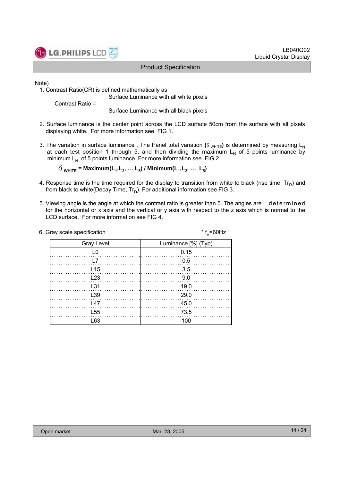

#### LB040Q02 Liquid Crystal Display

#### Product Specification

Note)

1. Contrast Ratio(CR) is defined mathematically as Surface Luminance with all white pixels

Contrast Ratio =

Surface Luminance with all black pixels

- 2. Surface luminance is the center point across the LCD surface 50cm from the surface with all pixels displaying white. For more information see FIG 1.
- 3. The variation in surface luminance, The Panel total variation ( $\delta$  WHITE) is determined by measuring L<sub>N</sub> at each test position 1 through 5, and then dividing the maximum  $L<sub>N</sub>$  of 5 points luminance by minimum  $L_N$  of 5 points luminance. For more information see FIG 2.

 $\delta$ <sub>WHITE</sub> = Maximum(L<sub>1</sub>, L<sub>2</sub>, ... L<sub>5</sub>) / Minimum(L<sub>1</sub>, L<sub>2</sub>, ... L<sub>5</sub>)

- 4. Response time is the time required for the display to transition from white to black (rise time,  $Tr_B$ ) and from black to white(Decay Time,  $Tr_D$ ). For additional information see FIG 3.
- 5. Viewing angle is the angle at which the contrast ratio is greater than 5. The angles are determined for the horizontal or x axis and the vertical or y axis with respect to the z axis which is normal to the LCD surface. For more information see FIG 4.

| 6. Gray scale specification | * $f_{v} = 60$ Hz   |
|-----------------------------|---------------------|
| <b>Gray Level</b>           | Luminance [%] (Typ) |
|                             | 0.15                |
|                             | 0.5                 |
| L <sub>15</sub>             | 3.5                 |
| L23                         | 9.0                 |
| L31                         | 19.0                |
| L39                         | 29.0                |
| 147                         | 45.0                |
| L <sub>55</sub>             | 73.5                |
| L63                         | 100                 |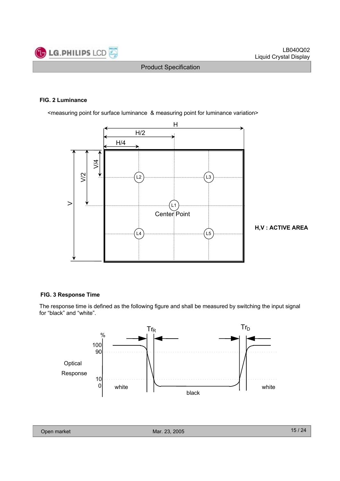

#### **FIG. 2 Luminance**

<measuring point for surface luminance & measuring point for luminance variation>



**H,V : ACTIVE AREA**

#### **FIG. 3 Response Time**

The response time is defined as the following figure and shall be measured by switching the input signal for "black" and "white".

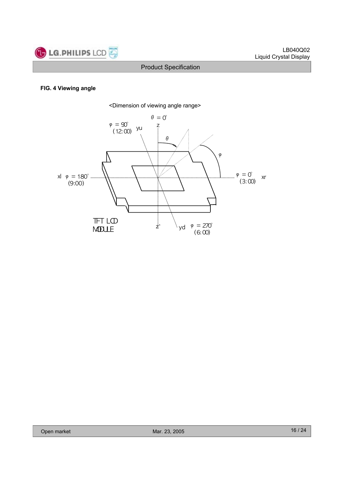

#### **FIG. 4 Viewing angle**

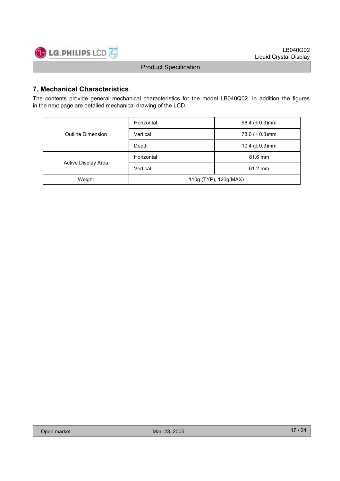

### **7. Mechanical Characteristics**

The contents provide general mechanical characteristics for the model LB040Q02. In addition the figures in the next page are detailed mechanical drawing of the LCD.

|                     | Horizontal                    | 98.4 ( $\pm$ 0.3)mm |  |  |
|---------------------|-------------------------------|---------------------|--|--|
| Outline Dimension   | Vertical                      | 78.0 ( $\pm$ 0.3)mm |  |  |
|                     | Depth                         | 10.4 ( $\pm$ 0.3)mm |  |  |
|                     | Horizontal                    | 81.6 mm             |  |  |
| Active Display Area | Vertical<br>$61.2 \text{ mm}$ |                     |  |  |
| Weight              | 110g (TYP), 120g(MAX)         |                     |  |  |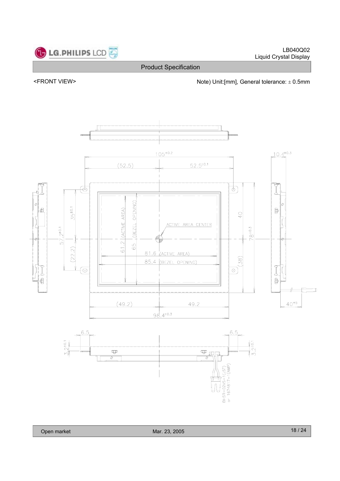



<FRONT VIEW> <parallel to the Note) Unit:[mm], General tolerance:  $\pm$  0.5mm

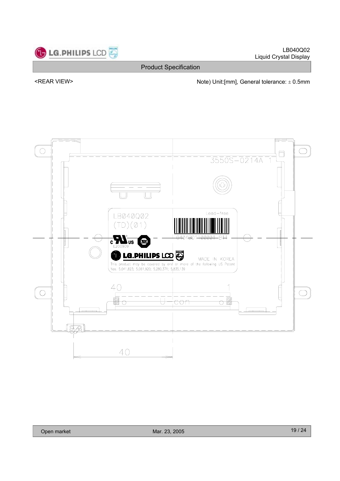

LB040Q02 Liquid Crystal Display

Product Specification

<REAR VIEW> Note) Unit:[mm], General tolerance:  $\pm$  0.5mm

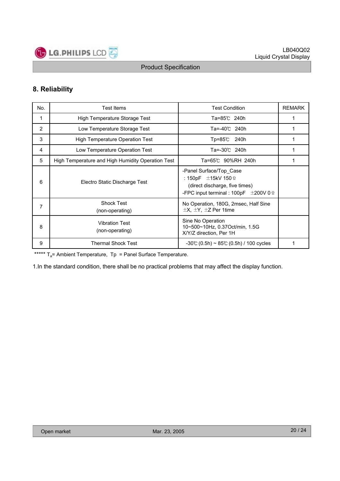

### **8. Reliability**

| No. | <b>Test Items</b>                                 | <b>Test Condition</b>                                                                                                                             | <b>REMARK</b> |
|-----|---------------------------------------------------|---------------------------------------------------------------------------------------------------------------------------------------------------|---------------|
| 1   | High Temperature Storage Test                     | Ta=85℃ 240h                                                                                                                                       |               |
| 2   | Low Temperature Storage Test                      | Ta=-40℃ 240h                                                                                                                                      |               |
| 3   | <b>High Temperature Operation Test</b>            | Tp=85℃<br>240h                                                                                                                                    | 1             |
| 4   | Low Temperature Operation Test                    | Ta=-30℃ 240h                                                                                                                                      | 1             |
| 5   | High Temperature and High Humidity Operation Test | Ta=65℃ 90%RH 240h                                                                                                                                 |               |
| 6   | Electro Static Discharge Test                     | -Panel Surface/Top Case<br>: 150pF $\pm$ 15kV 150 $\Omega$<br>(direct discharge, five times)<br>-FPC input terminal : 100pF $\pm$ 200V 0 $\Omega$ |               |
| 7   | <b>Shock Test</b><br>(non-operating)              | No Operation, 180G, 2msec, Half Sine<br>$\pm$ X, $\pm$ Y, $\pm$ Z Per 1time                                                                       |               |
| 8   | <b>Vibration Test</b><br>(non-operating)          | Sine No Operation<br>10~500~10Hz, 0.37Oct/min, 1.5G<br>X/Y/Z direction, Per 1H                                                                    |               |
| 9   | <b>Thermal Shock Test</b>                         | $-30^{\circ}$ (0.5h) ~ 85°C (0.5h) / 100 cycles                                                                                                   |               |

\*\*\*\*\*  $T_a$ = Ambient Temperature,  $T_p$  = Panel Surface Temperature.

1.In the standard condition, there shall be no practical problems that may affect the display function.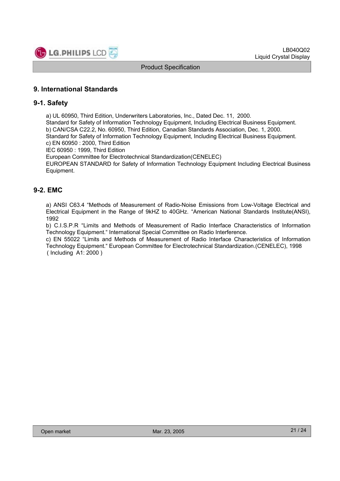

### **9. International Standards**

### **9-1. Safety**

a) UL 60950, Third Edition, Underwriters Laboratories, Inc., Dated Dec. 11, 2000.

Standard for Safety of Information Technology Equipment, Including Electrical Business Equipment. b) CAN/CSA C22.2, No. 60950, Third Edition, Canadian Standards Association, Dec. 1, 2000. Standard for Safety of Information Technology Equipment, Including Electrical Business Equipment.

c) EN 60950 : 2000, Third Edition

IEC 60950 : 1999, Third Edition

European Committee for Electrotechnical Standardization(CENELEC)

EUROPEAN STANDARD for Safety of Information Technology Equipment Including Electrical Business Equipment.

### **9-2. EMC**

a) ANSI C63.4 "Methods of Measurement of Radio-Noise Emissions from Low-Voltage Electrical and Electrical Equipment in the Range of 9kHZ to 40GHz. "American National Standards Institute(ANSI), 1992

b) C.I.S.P.R "Limits and Methods of Measurement of Radio Interface Characteristics of Information Technology Equipment." International Special Committee on Radio Interference.

c) EN 55022 "Limits and Methods of Measurement of Radio Interface Characteristics of Information Technology Equipment." European Committee for Electrotechnical Standardization.(CENELEC), 1998 ( Including A1: 2000 )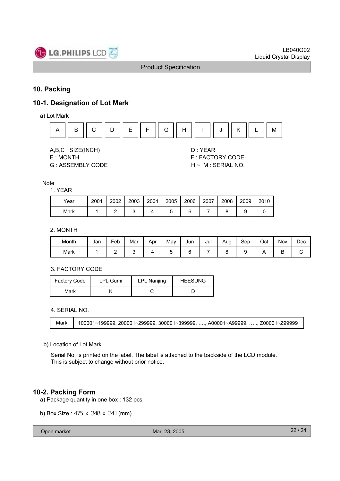

### **10. Packing**

### **10-1. Designation of Lot Mark**

a) Lot Mark



A,B,C : SIZE(INCH) D : YEAR

G : ASSEMBLY CODE H ~ M : SERIAL NO.

E : MONTH F : FACTORY CODE

#### **Note**

#### 1. YEAR

| Year | 2001 | 2002 | 2003 | 2004 | 2005 | 2006 | 2007 | 2008 | 2009 | 2010 |
|------|------|------|------|------|------|------|------|------|------|------|
| Mark |      |      |      |      |      |      |      |      |      |      |

### 2. MONTH

| Month | Jan | -<br>Feb | Mar | Apr | May | Jun | Jul | Aug | Sep | Oct | Nov | Dec |
|-------|-----|----------|-----|-----|-----|-----|-----|-----|-----|-----|-----|-----|
| Mark  |     | -        |     |     | ັ   |     |     |     | w   | . . | -   | ີ   |

#### 3. FACTORY CODE

| <b>Factory Code</b> | LPL Gumi | LPL Nanjing |  |
|---------------------|----------|-------------|--|
| Mark                |          |             |  |

4. SERIAL NO.

Mark | 100001~199999, 200001~299999, 300001~399999, …., A00001~A99999, ….., Z00001~Z99999

#### b) Location of Lot Mark

Serial No. is printed on the label. The label is attached to the backside of the LCD module. This is subject to change without prior notice.

### **10-2. Packing Form**

- a) Package quantity in one box : 132 pcs
- b) Box Size : 475 x 348 x 341 (mm)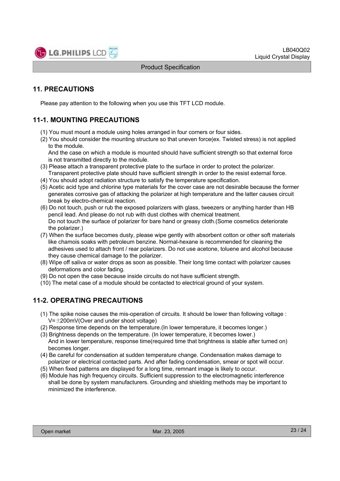

### **11. PRECAUTIONS**

Please pay attention to the following when you use this TFT LCD module.

### **11-1. MOUNTING PRECAUTIONS**

- (1) You must mount a module using holes arranged in four corners or four sides.
- (2) You should consider the mounting structure so that uneven force(ex. Twisted stress) is not applied to the module.

And the case on which a module is mounted should have sufficient strength so that external force is not transmitted directly to the module.

- (3) Please attach a transparent protective plate to the surface in order to protect the polarizer. Transparent protective plate should have sufficient strength in order to the resist external force.
- (4) You should adopt radiation structure to satisfy the temperature specification.
- (5) Acetic acid type and chlorine type materials for the cover case are not desirable because the former generates corrosive gas of attacking the polarizer at high temperature and the latter causes circuit break by electro-chemical reaction.
- (6) Do not touch, push or rub the exposed polarizers with glass, tweezers or anything harder than HB pencil lead. And please do not rub with dust clothes with chemical treatment. Do not touch the surface of polarizer for bare hand or greasy cloth.(Some cosmetics deteriorate the polarizer.)
- (7) When the surface becomes dusty, please wipe gently with absorbent cotton or other soft materials like chamois soaks with petroleum benzine. Normal-hexane is recommended for cleaning the adhesives used to attach front / rear polarizers. Do not use acetone, toluene and alcohol because they cause chemical damage to the polarizer.
- (8) Wipe off saliva or water drops as soon as possible. Their long time contact with polarizer causes deformations and color fading.
- (9) Do not open the case because inside circuits do not have sufficient strength.
- (10) The metal case of a module should be contacted to electrical ground of your system.

### **11-2. OPERATING PRECAUTIONS**

- (1) The spike noise causes the mis-operation of circuits. It should be lower than following voltage :  $V=\pm 200$ mV(Over and under shoot voltage)
- (2) Response time depends on the temperature.(In lower temperature, it becomes longer.)
- (3) Brightness depends on the temperature. (In lower temperature, it becomes lower.) And in lower temperature, response time(required time that brightness is stable after turned on) becomes longer.
- (4) Be careful for condensation at sudden temperature change. Condensation makes damage to polarizer or electrical contacted parts. And after fading condensation, smear or spot will occur.
- (5) When fixed patterns are displayed for a long time, remnant image is likely to occur.
- (6) Module has high frequency circuits. Sufficient suppression to the electromagnetic interference shall be done by system manufacturers. Grounding and shielding methods may be important to minimized the interference.